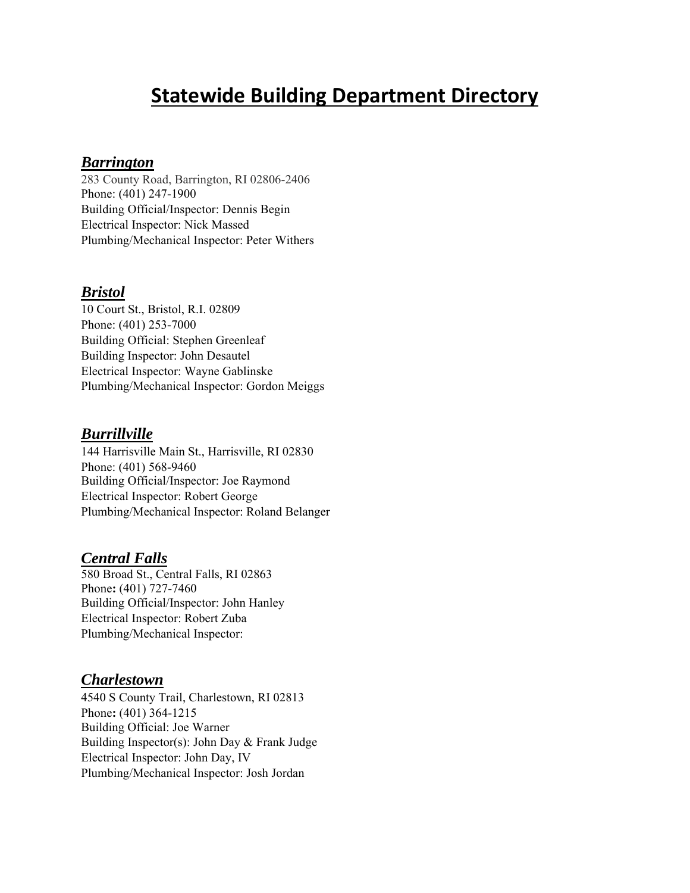# **Statewide Building Department Directory**

## *Barrington*

283 County Road, Barrington, RI 02806-2406 Phone: (401) 247-1900 Building Official/Inspector: Dennis Begin Electrical Inspector: Nick Massed Plumbing/Mechanical Inspector: Peter Withers

#### *Bristol*

10 Court St., Bristol, R.I. 02809 Phone: (401) 253-7000 Building Official: Stephen Greenleaf Building Inspector: John Desautel Electrical Inspector: Wayne Gablinske Plumbing/Mechanical Inspector: Gordon Meiggs

#### *Burrillville*

144 Harrisville Main St., Harrisville, RI 02830 Phone: (401) 568-9460 Building Official/Inspector: Joe Raymond Electrical Inspector: Robert George Plumbing/Mechanical Inspector: Roland Belanger

#### *Central Falls*

580 Broad St., Central Falls, RI 02863 Phone**:** (401) 727-7460 Building Official/Inspector: John Hanley Electrical Inspector: Robert Zuba Plumbing/Mechanical Inspector:

#### *Charlestown*

4540 S County Trail, Charlestown, RI 02813 Phone**:** (401) 364-1215 Building Official: Joe Warner Building Inspector(s): John Day & Frank Judge Electrical Inspector: John Day, IV Plumbing/Mechanical Inspector: Josh Jordan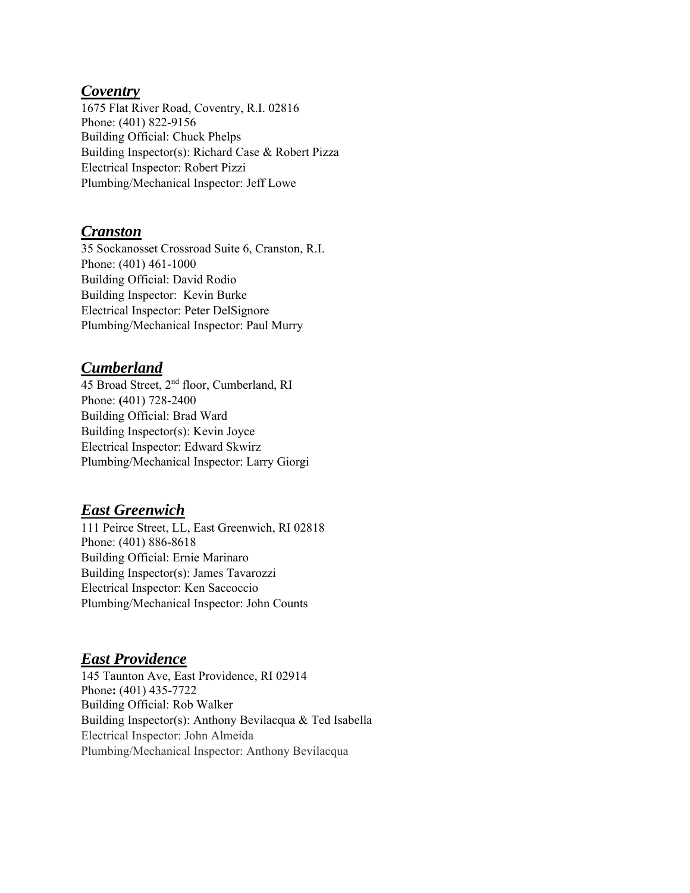#### *Coventry*

1675 Flat River Road, Coventry, R.I. 02816 Phone: (401) 822-9156 Building Official: Chuck Phelps Building Inspector(s): Richard Case & Robert Pizza Electrical Inspector: Robert Pizzi Plumbing/Mechanical Inspector: Jeff Lowe

## *Cranston*

35 Sockanosset Crossroad Suite 6, Cranston, R.I. Phone: (401) 461-1000 Building Official: David Rodio Building Inspector: Kevin Burke Electrical Inspector: Peter DelSignore Plumbing/Mechanical Inspector: Paul Murry

# *Cumberland*

45 Broad Street, 2<sup>nd</sup> floor, Cumberland, RI Phone: **(**401) 728-2400 Building Official: Brad Ward Building Inspector(s): Kevin Joyce Electrical Inspector: Edward Skwirz Plumbing/Mechanical Inspector: Larry Giorgi

## *East Greenwich*

111 Peirce Street, LL, East Greenwich, RI 02818 Phone: (401) 886-8618 Building Official: Ernie Marinaro Building Inspector(s): James Tavarozzi Electrical Inspector: Ken Saccoccio Plumbing/Mechanical Inspector: John Counts

# *East Providence*

145 Taunton Ave, East Providence, RI 02914 Phone**:** (401) 435-7722 Building Official: Rob Walker Building Inspector(s): Anthony Bevilacqua & Ted Isabella Electrical Inspector: John Almeida Plumbing/Mechanical Inspector: Anthony Bevilacqua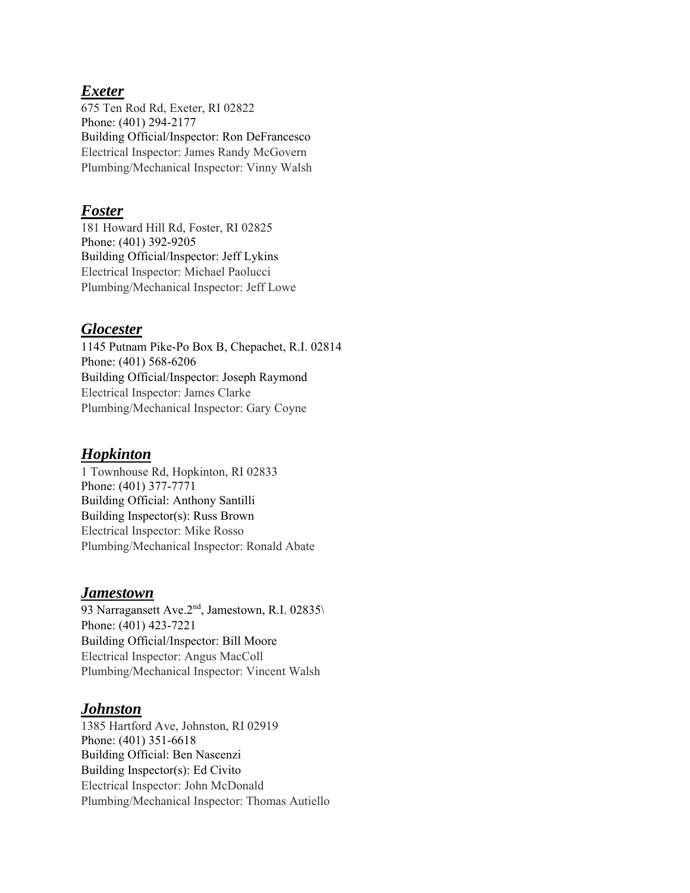## *Exeter*

675 Ten Rod Rd, Exeter, RI 02822 Phone: (401) 294-2177 Building Official/Inspector: Ron DeFrancesco Electrical Inspector: James Randy McGovern Plumbing/Mechanical Inspector: Vinny Walsh

#### *Foster*

181 Howard Hill Rd, Foster, RI 02825 Phone: (401) 392-9205 Building Official/Inspector: Jeff Lykins Electrical Inspector: Michael Paolucci Plumbing/Mechanical Inspector: Jeff Lowe

# *Glocester*

1145 Putnam Pike-Po Box B, Chepachet, R.I. 02814 Phone: (401) 568-6206 Building Official/Inspector: Joseph Raymond Electrical Inspector: James Clarke Plumbing/Mechanical Inspector: Gary Coyne

# *Hopkinton*

1 Townhouse Rd, Hopkinton, RI 02833 Phone: (401) 377-7771 Building Official: Anthony Santilli Building Inspector(s): Russ Brown Electrical Inspector: Mike Rosso Plumbing/Mechanical Inspector: Ronald Abate

## *Jamestown*

93 Narragansett Ave. $2<sup>nd</sup>$ , Jamestown, R.I. 02835 $\setminus$ Phone: (401) 423-7221 Building Official/Inspector: Bill Moore Electrical Inspector: Angus MacColl Plumbing/Mechanical Inspector: Vincent Walsh

# *Johnston*

1385 Hartford Ave, Johnston, RI 02919 Phone: (401) 351-6618 Building Official: Ben Nascenzi Building Inspector(s): Ed Civito Electrical Inspector: John McDonald Plumbing/Mechanical Inspector: Thomas Autiello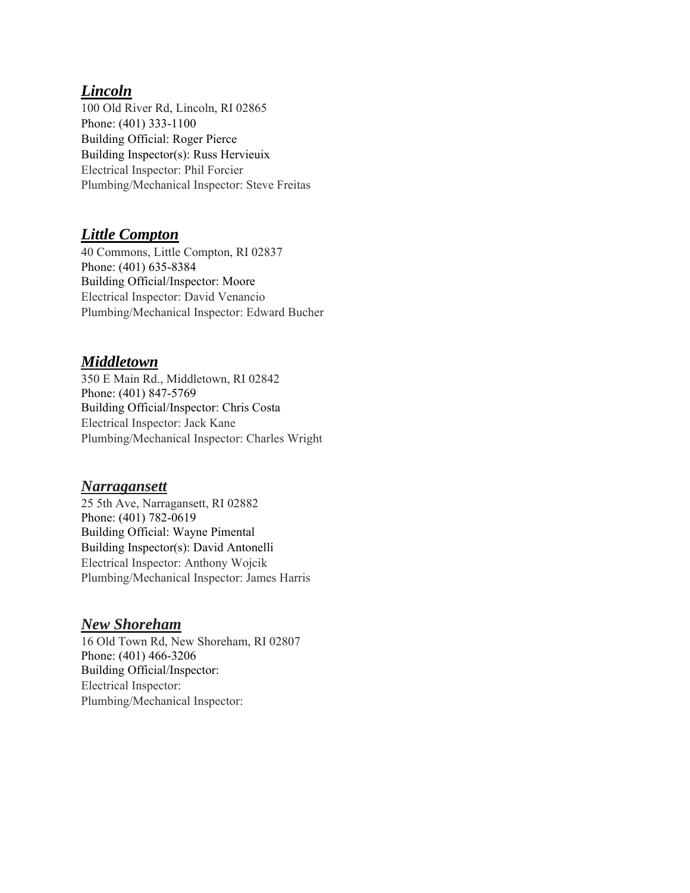## *Lincoln*

100 Old River Rd, Lincoln, RI 02865 Phone: (401) 333-1100 Building Official: Roger Pierce Building Inspector(s): Russ Hervieuix Electrical Inspector: Phil Forcier Plumbing/Mechanical Inspector: Steve Freitas

## *Little Compton*

40 Commons, Little Compton, RI 02837 Phone: (401) 635-8384 Building Official/Inspector: Moore Electrical Inspector: David Venancio Plumbing/Mechanical Inspector: Edward Bucher

## *Middletown*

350 E Main Rd., Middletown, RI 02842 Phone: (401) 847-5769 Building Official/Inspector: Chris Costa Electrical Inspector: Jack Kane Plumbing/Mechanical Inspector: Charles Wright

## *Narragansett*

25 5th Ave, Narragansett, RI 02882 Phone: (401) 782-0619 Building Official: Wayne Pimental Building Inspector(s): David Antonelli Electrical Inspector: Anthony Wojcik Plumbing/Mechanical Inspector: James Harris

## *New Shoreham*

16 Old Town Rd, New Shoreham, RI 02807 Phone: (401) 466-3206 Building Official/Inspector: Electrical Inspector: Plumbing/Mechanical Inspector: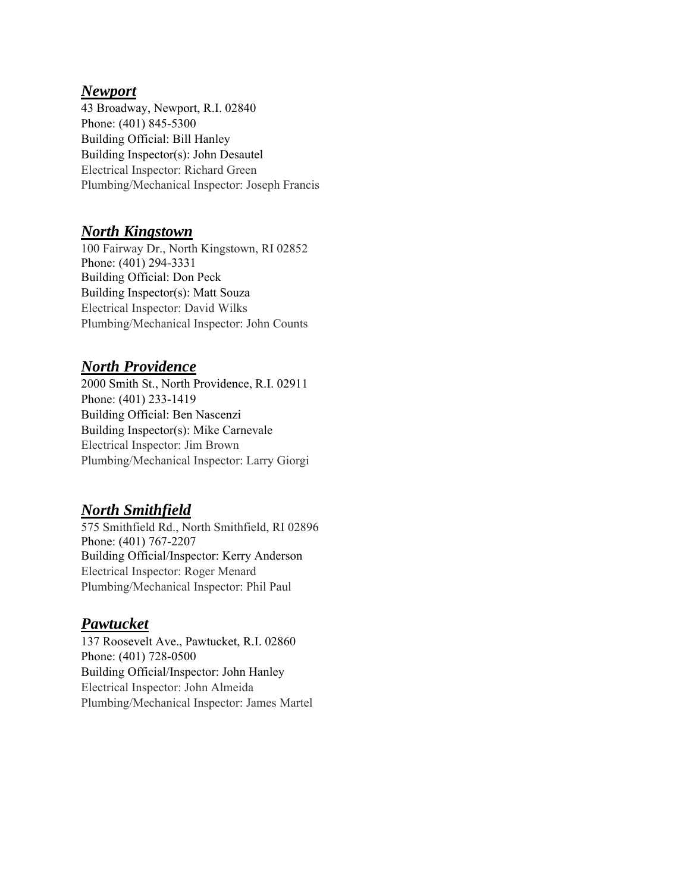#### *Newport*

43 Broadway, Newport, R.I. 02840 Phone: (401) 845-5300 Building Official: Bill Hanley Building Inspector(s): John Desautel Electrical Inspector: Richard Green Plumbing/Mechanical Inspector: Joseph Francis

## *North Kingstown*

100 Fairway Dr., North Kingstown, RI 02852 Phone: (401) 294-3331 Building Official: Don Peck Building Inspector(s): Matt Souza Electrical Inspector: David Wilks Plumbing/Mechanical Inspector: John Counts

# *North Providence*

2000 Smith St., North Providence, R.I. 02911 Phone: (401) 233-1419 Building Official: Ben Nascenzi Building Inspector(s): Mike Carnevale Electrical Inspector: Jim Brown Plumbing/Mechanical Inspector: Larry Giorgi

# *North Smithfield*

575 Smithfield Rd., North Smithfield, RI 02896 Phone: (401) 767-2207 Building Official/Inspector: Kerry Anderson Electrical Inspector: Roger Menard Plumbing/Mechanical Inspector: Phil Paul

# *Pawtucket*

137 Roosevelt Ave., Pawtucket, R.I. 02860 Phone: (401) 728-0500 Building Official/Inspector: John Hanley Electrical Inspector: John Almeida Plumbing/Mechanical Inspector: James Martel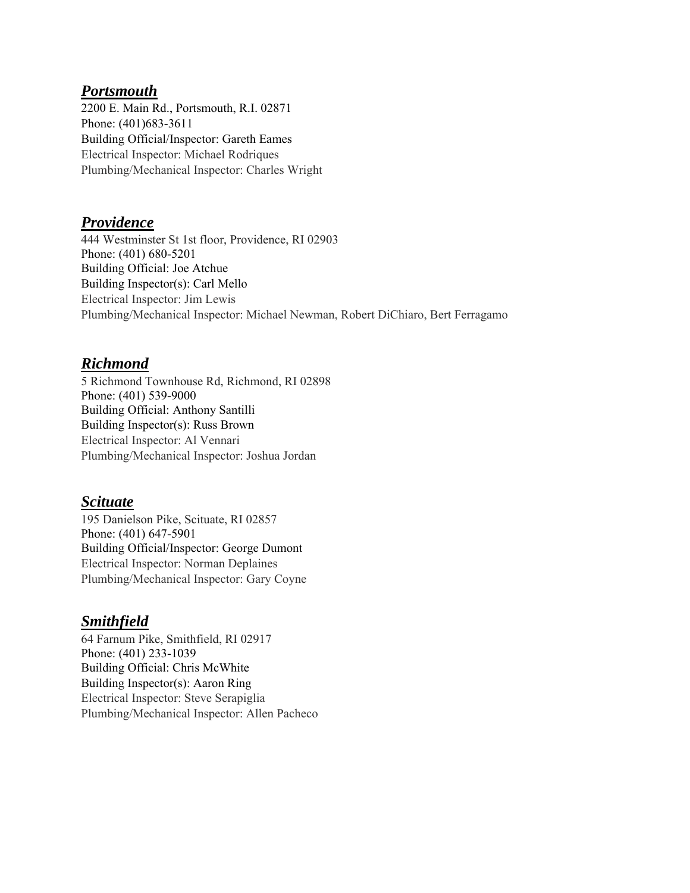#### *Portsmouth*

2200 E. Main Rd., Portsmouth, R.I. 02871 Phone: (401)683-3611 Building Official/Inspector: Gareth Eames Electrical Inspector: Michael Rodriques Plumbing/Mechanical Inspector: Charles Wright

#### *Providence*

444 Westminster St 1st floor, Providence, RI 02903 Phone: (401) 680-5201 Building Official: Joe Atchue Building Inspector(s): Carl Mello Electrical Inspector: Jim Lewis Plumbing/Mechanical Inspector: Michael Newman, Robert DiChiaro, Bert Ferragamo

#### *Richmond*

5 Richmond Townhouse Rd, Richmond, RI 02898 Phone: (401) 539-9000 Building Official: Anthony Santilli Building Inspector(s): Russ Brown Electrical Inspector: Al Vennari Plumbing/Mechanical Inspector: Joshua Jordan

#### *Scituate*

195 Danielson Pike, Scituate, RI 02857 Phone: (401) 647-5901 Building Official/Inspector: George Dumont Electrical Inspector: Norman Deplaines Plumbing/Mechanical Inspector: Gary Coyne

## *Smithfield*

64 Farnum Pike, Smithfield, RI 02917 Phone: (401) 233-1039 Building Official: Chris McWhite Building Inspector(s): Aaron Ring Electrical Inspector: Steve Serapiglia Plumbing/Mechanical Inspector: Allen Pacheco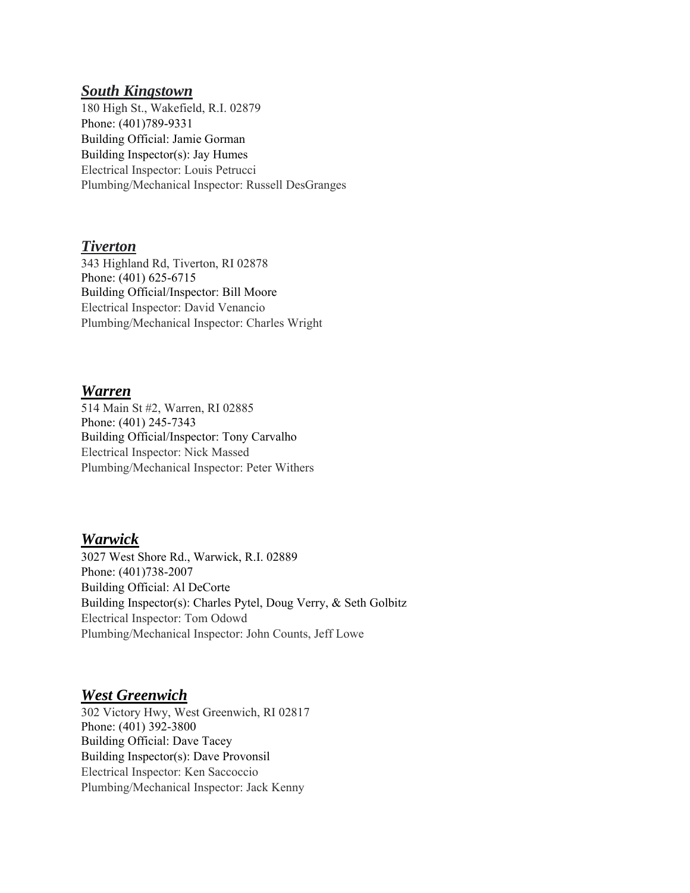#### *South Kingstown*

180 High St., Wakefield, R.I. 02879 Phone: (401)789-9331 Building Official: Jamie Gorman Building Inspector(s): Jay Humes Electrical Inspector: Louis Petrucci Plumbing/Mechanical Inspector: Russell DesGranges

#### *Tiverton*

343 Highland Rd, Tiverton, RI 02878 Phone: (401) 625-6715 Building Official/Inspector: Bill Moore Electrical Inspector: David Venancio Plumbing/Mechanical Inspector: Charles Wright

#### *Warren*

514 Main St #2, Warren, RI 02885 Phone: (401) 245-7343 Building Official/Inspector: Tony Carvalho Electrical Inspector: Nick Massed Plumbing/Mechanical Inspector: Peter Withers

## *Warwick*

3027 West Shore Rd., Warwick, R.I. 02889 Phone: (401)738-2007 Building Official: Al DeCorte Building Inspector(s): Charles Pytel, Doug Verry, & Seth Golbitz Electrical Inspector: Tom Odowd Plumbing/Mechanical Inspector: John Counts, Jeff Lowe

## *West Greenwich*

302 Victory Hwy, West Greenwich, RI 02817 Phone: (401) 392-3800 Building Official: Dave Tacey Building Inspector(s): Dave Provonsil Electrical Inspector: Ken Saccoccio Plumbing/Mechanical Inspector: Jack Kenny